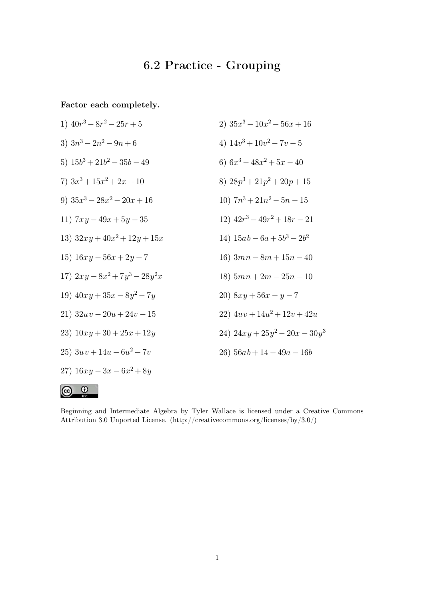## 6.2 Practice - Grouping

Factor each completely.

 $\odot$ 

 $\odot$ 

1) 
$$
40r^3 - 8r^2 - 25r + 5
$$
  
\n2)  $35x^3 - 10x^2 - 56x + 16$   
\n3)  $3n^3 - 2n^2 - 9n + 6$   
\n4)  $14v^3 + 10v^2 - 7v - 5$   
\n5)  $15b^3 + 21b^2 - 35b - 49$   
\n6)  $6x^3 - 48x^2 + 5x - 40$   
\n7)  $3x^3 + 15x^2 + 2x + 10$   
\n8)  $28p^3 + 21p^2 + 20p + 15$   
\n9)  $35x^3 - 28x^2 - 20x + 16$   
\n10)  $7n^3 + 21n^2 - 5n - 15$   
\n11)  $7xy - 49x + 5y - 35$   
\n12)  $42r^3 - 49r^2 + 18r - 21$   
\n13)  $32xy + 40x^2 + 12y + 15x$   
\n14)  $15ab - 6a + 5b^3 - 2b^2$   
\n15)  $16xy - 56x + 2y - 7$   
\n16)  $3mn - 8m + 15n - 40$   
\n17)  $2xy - 8x^2 + 7y^3 - 28y^2x$   
\n18)  $5mn + 2m - 25n - 10$   
\n19)  $40xy + 35x - 8y^2 - 7y$   
\n21)  $32uv - 20u + 24v - 15$   
\n22)  $4uv + 14u^2 + 12v + 42u$   
\n23)  $10xy + 30 + 25x + 12y$   
\n24)  $24xy + 25y^2 - 20x - 30y^3$   
\n25)  $3uv + 14u - 6u^2 - 7v$   
\n26)  $56ab + 14 - 49a - 16b$   
\n27)  $16xy$ 

Beginning and Intermediate Algebra by Tyler Wallace is licensed under a Creative Commons Attribution 3.0 Unported License. (http://creativecommons.org/licenses/by/3.0/)